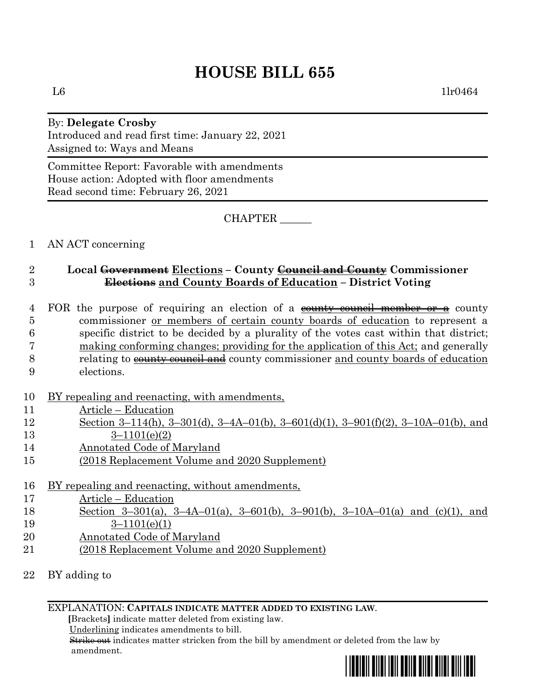# **HOUSE BILL 655**

### By: **Delegate Crosby** Introduced and read first time: January 22, 2021 Assigned to: Ways and Means

Committee Report: Favorable with amendments House action: Adopted with floor amendments Read second time: February 26, 2021

CHAPTER \_\_\_\_\_\_

1 AN ACT concerning

# 2 **Local Government Elections – County Council and County Commissioner**  3 **Elections and County Boards of Education – District Voting**

- 4 FOR the purpose of requiring an election of a county council member or a county 5 commissioner or members of certain county boards of education to represent a 6 specific district to be decided by a plurality of the votes cast within that district; 7 making conforming changes; providing for the application of this Act; and generally 8 relating to county council and county commissioner and county boards of education
- 9 elections.
- 10 BY repealing and reenacting, with amendments,
- 11 Article Education
- 12 Section 3–114(h), 3–301(d), 3–4A–01(b), 3–601(d)(1), 3–901(f)(2), 3–10A–01(b), and 13 3–1101(e)(2)
- 14 Annotated Code of Maryland
- 15 (2018 Replacement Volume and 2020 Supplement)
- 16 BY repealing and reenacting, without amendments,
- 17 Article Education
- 18 Section 3–301(a), 3–4A–01(a), 3–601(b), 3–901(b), 3–10A–01(a) and (c)(1), and 19 3–1101(e)(1)
- 20 **Annotated Code of Maryland**
- 21 (2018 Replacement Volume and 2020 Supplement)
- 22 BY adding to

### EXPLANATION: **CAPITALS INDICATE MATTER ADDED TO EXISTING LAW**.

 **[**Brackets**]** indicate matter deleted from existing law.

Underlining indicates amendments to bill.

 Strike out indicates matter stricken from the bill by amendment or deleted from the law by amendment.

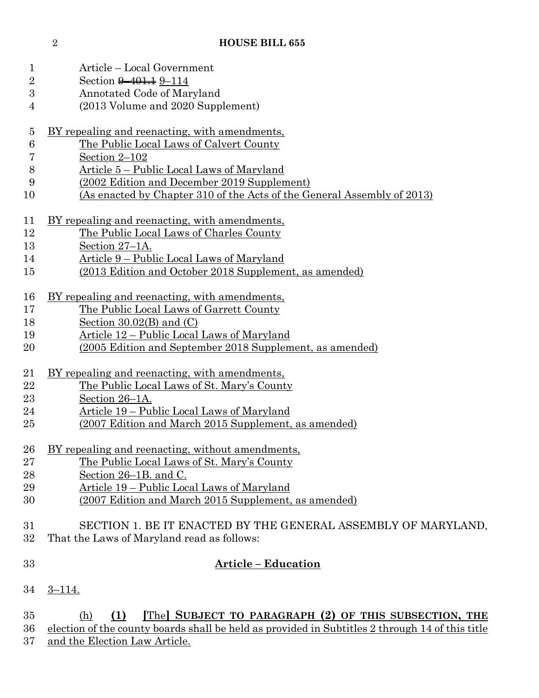| 1               | Article – Local Government                                                                      |
|-----------------|-------------------------------------------------------------------------------------------------|
| $\overline{2}$  | Section 9-401.1 9-114                                                                           |
| 3               | Annotated Code of Maryland                                                                      |
| 4               | (2013 Volume and 2020 Supplement)                                                               |
| $\overline{5}$  | <u>BY repealing and reenacting, with amendments,</u>                                            |
| $6\phantom{.}6$ | The Public Local Laws of Calvert County                                                         |
| 7               | Section 2-102                                                                                   |
| 8               | Article 5 – Public Local Laws of Maryland                                                       |
| 9               | (2002 Edition and December 2019 Supplement)                                                     |
| 10              | <u>(As enacted by Chapter 310 of the Acts of the General Assembly of 2013)</u>                  |
| 11              | <u>BY repealing and reenacting, with amendments,</u>                                            |
| 12              | The Public Local Laws of Charles County                                                         |
| 13              | Section 27–1A.                                                                                  |
| 14              | Article 9 – Public Local Laws of Maryland                                                       |
| 15              | (2013 Edition and October 2018 Supplement, as amended)                                          |
| 16              | BY repealing and reenacting, with amendments,                                                   |
| 17              | The Public Local Laws of Garrett County                                                         |
| 18              | Section $30.02(B)$ and $(C)$                                                                    |
| 19              | Article 12 – Public Local Laws of Maryland                                                      |
| $20\,$          | (2005 Edition and September 2018 Supplement, as amended)                                        |
| 21              | BY repealing and reenacting, with amendments,                                                   |
| 22              | The Public Local Laws of St. Mary's County                                                      |
| 23              | Section 26–1A.                                                                                  |
| 24              | Article 19 – Public Local Laws of Maryland                                                      |
| 25              | (2007 Edition and March 2015 Supplement, as amended)                                            |
| 26              | BY repealing and reenacting, without amendments,                                                |
| $27\,$          | The Public Local Laws of St. Mary's County                                                      |
| 28              | Section 26–1B. and C.                                                                           |
| 29              | Article 19 – Public Local Laws of Maryland                                                      |
| 30              | (2007 Edition and March 2015 Supplement, as amended)                                            |
| 31              | SECTION 1. BE IT ENACTED BY THE GENERAL ASSEMBLY OF MARYLAND,                                   |
| 32              | That the Laws of Maryland read as follows:                                                      |
| 33              | <u> Article – Education</u>                                                                     |
| 34              | $3 - 114.$                                                                                      |
| 35              | [The] SUBJECT TO PARAGRAPH (2) OF THIS SUBSECTION, THE<br>(1)<br>(h)                            |
| 36              | election of the county boards shall be held as provided in Subtitles 2 through 14 of this title |

37 and the Election Law Article.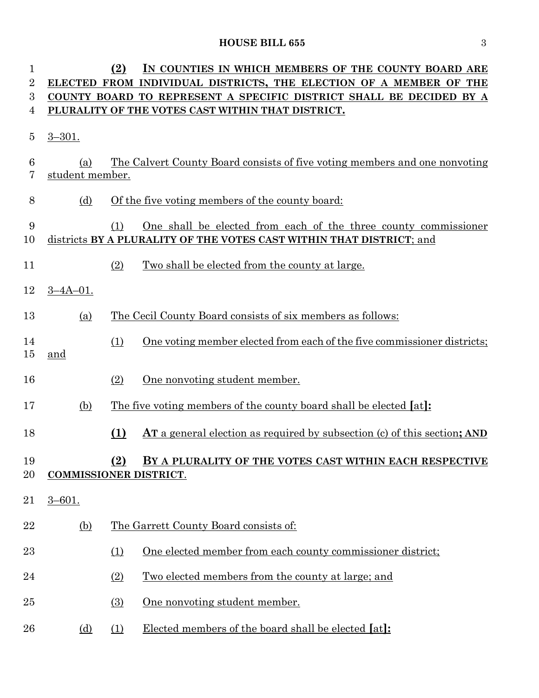# **HOUSE BILL 655** 3

| 1              |                                                                                          | (2)<br>IN COUNTIES IN WHICH MEMBERS OF THE COUNTY BOARD ARE                                                                                    |  |  |  |  |  |  |
|----------------|------------------------------------------------------------------------------------------|------------------------------------------------------------------------------------------------------------------------------------------------|--|--|--|--|--|--|
| $\overline{2}$ | ELECTED FROM INDIVIDUAL DISTRICTS, THE ELECTION OF A MEMBER OF THE                       |                                                                                                                                                |  |  |  |  |  |  |
| 3<br>4         |                                                                                          | COUNTY BOARD TO REPRESENT A SPECIFIC DISTRICT SHALL BE DECIDED BY A<br>PLURALITY OF THE VOTES CAST WITHIN THAT DISTRICT.                       |  |  |  |  |  |  |
|                |                                                                                          |                                                                                                                                                |  |  |  |  |  |  |
| 5              | $3 - 301.$                                                                               |                                                                                                                                                |  |  |  |  |  |  |
| 6<br>7         | (a)<br>student member.                                                                   | The Calvert County Board consists of five voting members and one nonvoting                                                                     |  |  |  |  |  |  |
| 8              | (d)                                                                                      | Of the five voting members of the county board:                                                                                                |  |  |  |  |  |  |
| 9<br>10        |                                                                                          | One shall be elected from each of the three county commissioner<br>(1)<br>districts BY A PLURALITY OF THE VOTES CAST WITHIN THAT DISTRICT; and |  |  |  |  |  |  |
| 11             |                                                                                          | Two shall be elected from the county at large.<br>(2)                                                                                          |  |  |  |  |  |  |
| 12             | $3 - 4A - 01$ .                                                                          |                                                                                                                                                |  |  |  |  |  |  |
| 13             | (a)                                                                                      | The Cecil County Board consists of six members as follows:                                                                                     |  |  |  |  |  |  |
| 14<br>15       | and                                                                                      | One voting member elected from each of the five commissioner districts;<br>(1)                                                                 |  |  |  |  |  |  |
| 16             |                                                                                          | (2)<br>One nonvoting student member.                                                                                                           |  |  |  |  |  |  |
| 17             | (b)                                                                                      | The five voting members of the county board shall be elected [at]:                                                                             |  |  |  |  |  |  |
| 18             |                                                                                          | (1)<br><b>AT</b> a general election as required by subsection (c) of this section; AND                                                         |  |  |  |  |  |  |
| 19<br>20       | (2)<br>BY A PLURALITY OF THE VOTES CAST WITHIN EACH RESPECTIVE<br>COMMISSIONER DISTRICT. |                                                                                                                                                |  |  |  |  |  |  |
| 21             | $3 - 601.$                                                                               |                                                                                                                                                |  |  |  |  |  |  |
| 22             | <u>(b)</u>                                                                               | The Garrett County Board consists of:                                                                                                          |  |  |  |  |  |  |
| 23             |                                                                                          | One elected member from each county commissioner district;<br>(1)                                                                              |  |  |  |  |  |  |
| 24             |                                                                                          | <u>Two elected members from the county at large; and</u><br>(2)                                                                                |  |  |  |  |  |  |
| 25             |                                                                                          | One nonvoting student member.<br>$\Omega$                                                                                                      |  |  |  |  |  |  |
| 26             | <u>(d)</u>                                                                               | Elected members of the board shall be elected [at]:<br>(1)                                                                                     |  |  |  |  |  |  |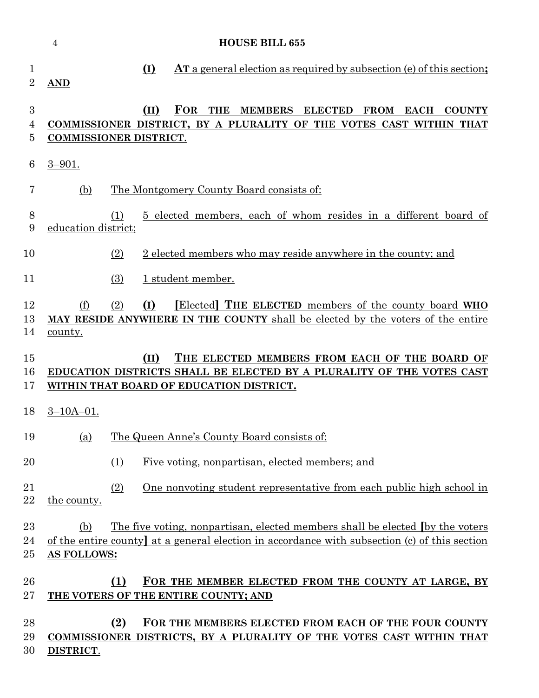|                     | $\overline{4}$                                                                                                                                                             | <b>HOUSE BILL 655</b>                                                                                                                                                                                             |  |  |  |  |
|---------------------|----------------------------------------------------------------------------------------------------------------------------------------------------------------------------|-------------------------------------------------------------------------------------------------------------------------------------------------------------------------------------------------------------------|--|--|--|--|
| 1<br>$\overline{2}$ | <b>AND</b>                                                                                                                                                                 | $(\mathbf{I})$<br><b>AT</b> a general election as required by subsection (e) of this section;                                                                                                                     |  |  |  |  |
| 3<br>4<br>5         |                                                                                                                                                                            | <b>FOR</b><br>(II)<br><b>THE</b><br><b>MEMBERS</b><br><b>ELECTED</b><br><b>FROM EACH</b><br><b>COUNTY</b><br>COMMISSIONER DISTRICT, BY A PLURALITY OF THE VOTES CAST WITHIN THAT<br><b>COMMISSIONER DISTRICT.</b> |  |  |  |  |
| $\boldsymbol{6}$    | $3 - 901.$                                                                                                                                                                 |                                                                                                                                                                                                                   |  |  |  |  |
| 7                   | (b)                                                                                                                                                                        | The Montgomery County Board consists of:                                                                                                                                                                          |  |  |  |  |
| 8<br>9              |                                                                                                                                                                            | 5 elected members, each of whom resides in a different board of<br>(1)<br>education district;                                                                                                                     |  |  |  |  |
| 10                  |                                                                                                                                                                            | 2 elected members who may reside anywhere in the county; and<br>(2)                                                                                                                                               |  |  |  |  |
| 11                  |                                                                                                                                                                            | (3)<br>1 student member.                                                                                                                                                                                          |  |  |  |  |
| 12<br>13<br>14      | (f)<br>county.                                                                                                                                                             | (I)<br>[Elected] THE ELECTED members of the county board WHO<br>(2)<br>MAY RESIDE ANYWHERE IN THE COUNTY shall be elected by the voters of the entire                                                             |  |  |  |  |
| 15<br>16<br>17      | THE ELECTED MEMBERS FROM EACH OF THE BOARD OF<br>(II)<br>EDUCATION DISTRICTS SHALL BE ELECTED BY A PLURALITY OF THE VOTES CAST<br>WITHIN THAT BOARD OF EDUCATION DISTRICT. |                                                                                                                                                                                                                   |  |  |  |  |
| 18                  | $3 - 10A - 01$ .                                                                                                                                                           |                                                                                                                                                                                                                   |  |  |  |  |
| 19                  | (a)                                                                                                                                                                        | The Queen Anne's County Board consists of:                                                                                                                                                                        |  |  |  |  |
| 20                  |                                                                                                                                                                            | Five voting, nonpartisan, elected members; and<br>(1)                                                                                                                                                             |  |  |  |  |
| 21<br>22            | the county.                                                                                                                                                                | (2)<br>One nonvoting student representative from each public high school in                                                                                                                                       |  |  |  |  |
| 23<br>24<br>25      | (b)<br>AS FOLLOWS:                                                                                                                                                         | The five voting, nonpartisan, elected members shall be elected (by the voters<br>of the entire county at a general election in accordance with subsection (c) of this section                                     |  |  |  |  |
| 26<br>27            |                                                                                                                                                                            | FOR THE MEMBER ELECTED FROM THE COUNTY AT LARGE, BY<br>(1)<br>THE VOTERS OF THE ENTIRE COUNTY; AND                                                                                                                |  |  |  |  |
| 28                  |                                                                                                                                                                            |                                                                                                                                                                                                                   |  |  |  |  |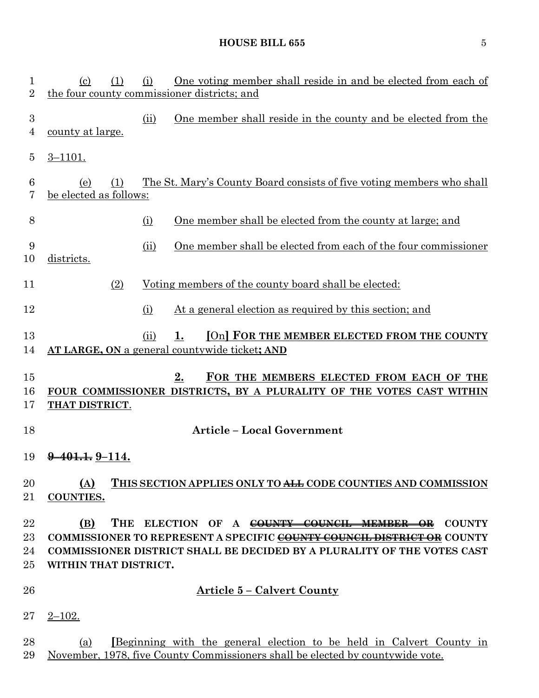# **HOUSE BILL 655** 5

| $\mathbf{1}$<br>$\sqrt{2}$   | $\left( \mathrm{c}\right)$<br>(1)                                                                                                                 | (i)  | <u>One voting member shall reside in and be elected from each of</u><br>the four county commissioner districts; and                                   |  |
|------------------------------|---------------------------------------------------------------------------------------------------------------------------------------------------|------|-------------------------------------------------------------------------------------------------------------------------------------------------------|--|
| $\sqrt{3}$<br>$\overline{4}$ | <u>county at large.</u>                                                                                                                           | (ii) | One member shall reside in the county and be elected from the                                                                                         |  |
| $\overline{5}$               | $3 - 1101.$                                                                                                                                       |      |                                                                                                                                                       |  |
| $\,6$<br>7                   | (e)<br>(1)<br>be elected as follows:                                                                                                              |      | The St. Mary's County Board consists of five voting members who shall                                                                                 |  |
| 8                            |                                                                                                                                                   | (i)  | One member shall be elected from the county at large; and                                                                                             |  |
| 9<br>10                      | districts.                                                                                                                                        | (ii) | One member shall be elected from each of the four commissioner                                                                                        |  |
| 11                           | (2)                                                                                                                                               |      | Voting members of the county board shall be elected:                                                                                                  |  |
| 12                           |                                                                                                                                                   | (i)  | At a general election as required by this section; and                                                                                                |  |
| 13<br>14                     |                                                                                                                                                   | (ii) | [On] FOR THE MEMBER ELECTED FROM THE COUNTY<br>1.<br>AT LARGE, ON a general countywide ticket; AND                                                    |  |
| 15<br>16<br>17               | 2.<br>FOR THE MEMBERS ELECTED FROM EACH OF THE<br>FOUR COMMISSIONER DISTRICTS, BY A PLURALITY OF THE VOTES CAST WITHIN<br>THAT DISTRICT.          |      |                                                                                                                                                       |  |
| 18                           |                                                                                                                                                   |      | <b>Article - Local Government</b>                                                                                                                     |  |
| 19                           | <del>401.1.</del> 9–114.                                                                                                                          |      |                                                                                                                                                       |  |
| 20<br>21                     | (A)<br><b>COUNTIES.</b>                                                                                                                           |      | THIS SECTION APPLIES ONLY TO ALL CODE COUNTIES AND COMMISSION                                                                                         |  |
| 22<br>23                     | (B)                                                                                                                                               |      | THE ELECTION OF A COUNTY COUNCIL MEMBER OR COUNTY                                                                                                     |  |
| 24                           | COMMISSIONER TO REPRESENT A SPECIFIC COUNTY COUNCIL DISTRICT OR COUNTY<br>COMMISSIONER DISTRICT SHALL BE DECIDED BY A PLURALITY OF THE VOTES CAST |      |                                                                                                                                                       |  |
| 25                           | WITHIN THAT DISTRICT.                                                                                                                             |      |                                                                                                                                                       |  |
| 26                           |                                                                                                                                                   |      | <u> Article 5 – Calvert County</u>                                                                                                                    |  |
| 27                           | $2 - 102.$                                                                                                                                        |      |                                                                                                                                                       |  |
| 28<br>29                     | (a)                                                                                                                                               |      | Beginning with the general election to be held in Calvert County in<br>November, 1978, five County Commissioners shall be elected by countywide vote. |  |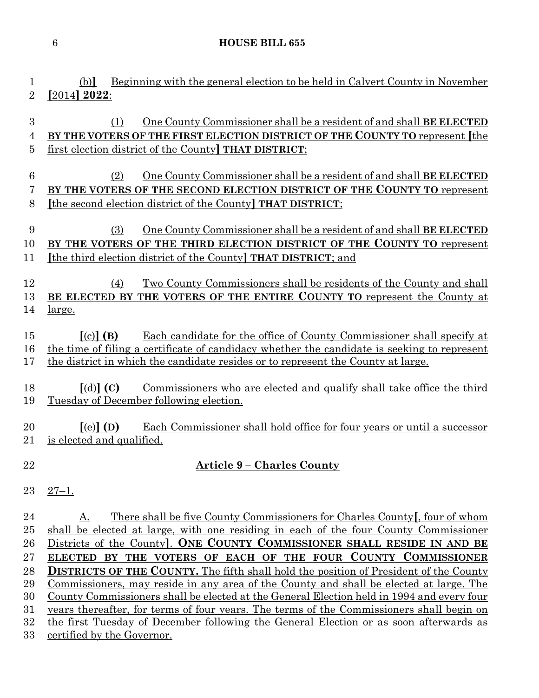### **HOUSE BILL 655**

# (b)**]** Beginning with the general election to be held in Calvert County in November **[**2014**] 2022**: (1) One County Commissioner shall be a resident of and shall **BE ELECTED BY THE VOTERS OF THE FIRST ELECTION DISTRICT OF THE COUNTY TO** represent **[**the first election district of the County**] THAT DISTRICT**; (2) One County Commissioner shall be a resident of and shall **BE ELECTED BY THE VOTERS OF THE SECOND ELECTION DISTRICT OF THE COUNTY TO** represent **[**the second election district of the County**] THAT DISTRICT**;

# (3) One County Commissioner shall be a resident of and shall **BE ELECTED BY THE VOTERS OF THE THIRD ELECTION DISTRICT OF THE COUNTY TO** represent **[**the third election district of the County**] THAT DISTRICT**; and

 (4) Two County Commissioners shall be residents of the County and shall **BE ELECTED BY THE VOTERS OF THE ENTIRE COUNTY TO** represent the County at large.

 **[**(c)**] (B)** Each candidate for the office of County Commissioner shall specify at the time of filing a certificate of candidacy whether the candidate is seeking to represent the district in which the candidate resides or to represent the County at large.

 **[**(d)**] (C)** Commissioners who are elected and qualify shall take office the third Tuesday of December following election.

 **[**(e)**] (D)** Each Commissioner shall hold office for four years or until a successor is elected and qualified.

# **Article 9 – Charles County**

27–1.

24 A. There shall be five County Commissioners for Charles County **[**, four of whom shall be elected at large, with one residing in each of the four County Commissioner Districts of the County**]**. **ONE COUNTY COMMISSIONER SHALL RESIDE IN AND BE ELECTED BY THE VOTERS OF EACH OF THE FOUR COUNTY COMMISSIONER DISTRICTS OF THE COUNTY.** The fifth shall hold the position of President of the County Commissioners, may reside in any area of the County and shall be elected at large. The County Commissioners shall be elected at the General Election held in 1994 and every four years thereafter, for terms of four years. The terms of the Commissioners shall begin on the first Tuesday of December following the General Election or as soon afterwards as certified by the Governor.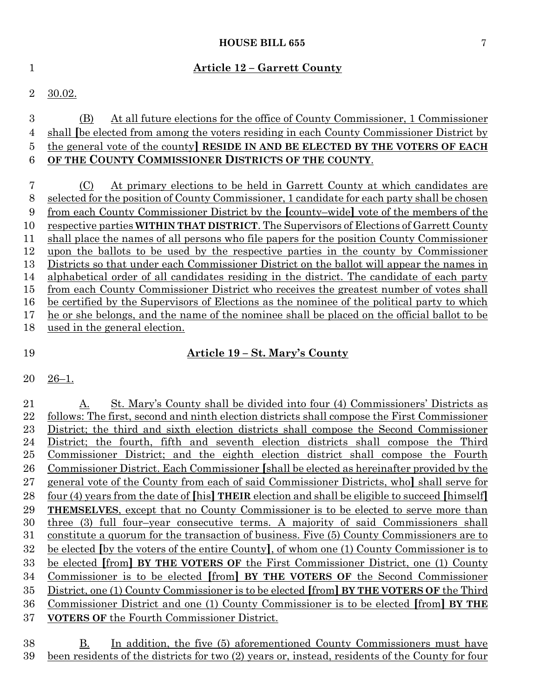#### **HOUSE BILL 655** 7

#### **Article 12 – Garrett County**

30.02.

## (B) At all future elections for the office of County Commissioner, 1 Commissioner shall **[**be elected from among the voters residing in each County Commissioner District by the general vote of the county**] RESIDE IN AND BE ELECTED BY THE VOTERS OF EACH OF THE COUNTY COMMISSIONER DISTRICTS OF THE COUNTY**.

 (C) At primary elections to be held in Garrett County at which candidates are selected for the position of County Commissioner, 1 candidate for each party shall be chosen from each County Commissioner District by the **[**county–wide**]** vote of the members of the respective parties **WITHIN THAT DISTRICT**. The Supervisors of Elections of Garrett County shall place the names of all persons who file papers for the position County Commissioner upon the ballots to be used by the respective parties in the county by Commissioner Districts so that under each Commissioner District on the ballot will appear the names in alphabetical order of all candidates residing in the district. The candidate of each party from each County Commissioner District who receives the greatest number of votes shall be certified by the Supervisors of Elections as the nominee of the political party to which he or she belongs, and the name of the nominee shall be placed on the official ballot to be used in the general election.

### **Article 19 – St. Mary's County**

### 26–1.

 A. St. Mary's County shall be divided into four (4) Commissioners' Districts as follows: The first, second and ninth election districts shall compose the First Commissioner District; the third and sixth election districts shall compose the Second Commissioner District; the fourth, fifth and seventh election districts shall compose the Third Commissioner District; and the eighth election district shall compose the Fourth Commissioner District. Each Commissioner **[**shall be elected as hereinafter provided by the general vote of the County from each of said Commissioner Districts, who**]** shall serve for four (4) years from the date of **[**his**] THEIR** election and shall be eligible to succeed **[**himself**] THEMSELVES**, except that no County Commissioner is to be elected to serve more than three (3) full four–year consecutive terms. A majority of said Commissioners shall constitute a quorum for the transaction of business. Five (5) County Commissioners are to be elected **[**by the voters of the entire County**]**, of whom one (1) County Commissioner is to be elected **[**from**] BY THE VOTERS OF** the First Commissioner District, one (1) County Commissioner is to be elected **[**from**] BY THE VOTERS OF** the Second Commissioner District, one (1) County Commissioner is to be elected **[**from**] BY THE VOTERS OF** the Third Commissioner District and one (1) County Commissioner is to be elected **[**from**] BY THE VOTERS OF** the Fourth Commissioner District.

 B. In addition, the five (5) aforementioned County Commissioners must have been residents of the districts for two (2) years or, instead, residents of the County for four